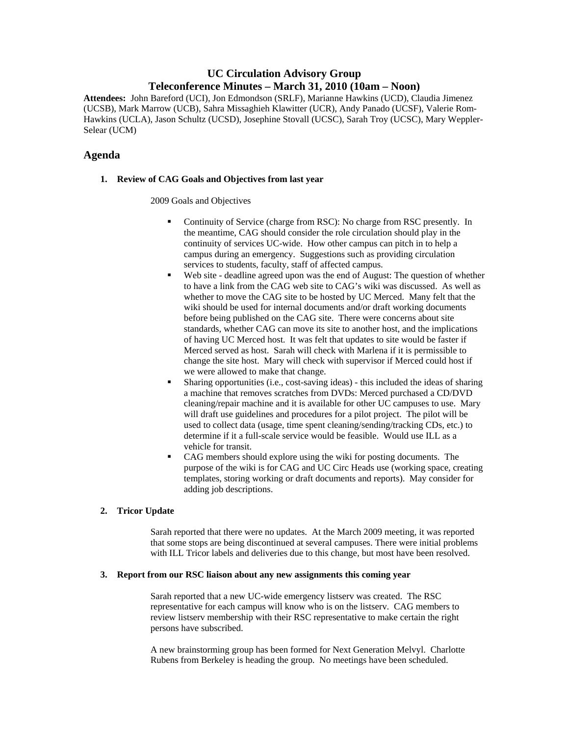# **UC Circulation Advisory Group Teleconference Minutes – March 31, 2010 (10am – Noon)**

**Attendees:** John Bareford (UCI), Jon Edmondson (SRLF), Marianne Hawkins (UCD), Claudia Jimenez (UCSB), Mark Marrow (UCB), Sahra Missaghieh Klawitter (UCR), Andy Panado (UCSF), Valerie Rom-Hawkins (UCLA), Jason Schultz (UCSD), Josephine Stovall (UCSC), Sarah Troy (UCSC), Mary Weppler-Selear (UCM)

## **Agenda**

## **1. Review of CAG Goals and Objectives from last year**

### 2009 Goals and Objectives

- Continuity of Service (charge from RSC): No charge from RSC presently. In the meantime, CAG should consider the role circulation should play in the continuity of services UC-wide. How other campus can pitch in to help a campus during an emergency. Suggestions such as providing circulation services to students, faculty, staff of affected campus.
- Web site deadline agreed upon was the end of August: The question of whether to have a link from the CAG web site to CAG's wiki was discussed. As well as whether to move the CAG site to be hosted by UC Merced. Many felt that the wiki should be used for internal documents and/or draft working documents before being published on the CAG site. There were concerns about site standards, whether CAG can move its site to another host, and the implications of having UC Merced host. It was felt that updates to site would be faster if Merced served as host. Sarah will check with Marlena if it is permissible to change the site host. Mary will check with supervisor if Merced could host if we were allowed to make that change.
- Sharing opportunities (i.e., cost-saving ideas) this included the ideas of sharing a machine that removes scratches from DVDs: Merced purchased a CD/DVD cleaning/repair machine and it is available for other UC campuses to use. Mary will draft use guidelines and procedures for a pilot project. The pilot will be used to collect data (usage, time spent cleaning/sending/tracking CDs, etc.) to determine if it a full-scale service would be feasible. Would use ILL as a vehicle for transit.
- CAG members should explore using the wiki for posting documents. The purpose of the wiki is for CAG and UC Circ Heads use (working space, creating templates, storing working or draft documents and reports). May consider for adding job descriptions.

## **2. Tricor Update**

Sarah reported that there were no updates. At the March 2009 meeting, it was reported that some stops are being discontinued at several campuses. There were initial problems with ILL Tricor labels and deliveries due to this change, but most have been resolved.

#### **3. Report from our RSC liaison about any new assignments this coming year**

Sarah reported that a new UC-wide emergency listserv was created. The RSC representative for each campus will know who is on the listserv. CAG members to review listserv membership with their RSC representative to make certain the right persons have subscribed.

A new brainstorming group has been formed for Next Generation Melvyl. Charlotte Rubens from Berkeley is heading the group. No meetings have been scheduled.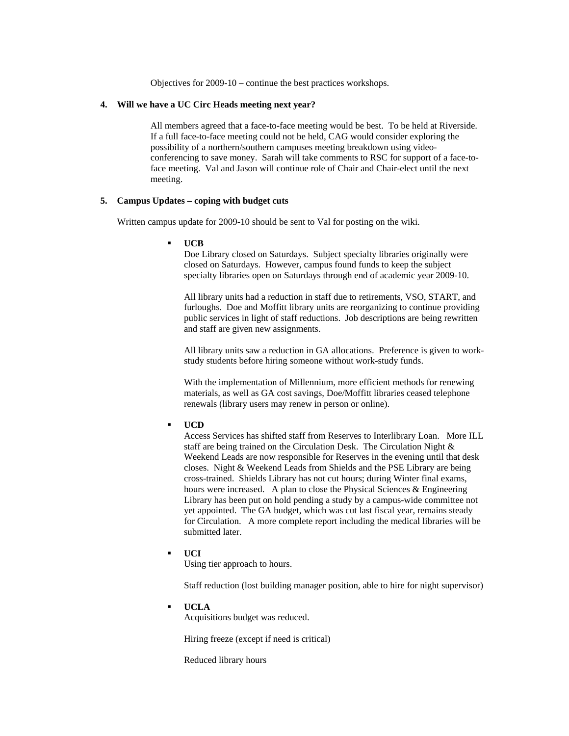Objectives for 2009-10 – continue the best practices workshops.

#### **4. Will we have a UC Circ Heads meeting next year?**

All members agreed that a face-to-face meeting would be best. To be held at Riverside. If a full face-to-face meeting could not be held, CAG would consider exploring the possibility of a northern/southern campuses meeting breakdown using videoconferencing to save money. Sarah will take comments to RSC for support of a face-toface meeting. Val and Jason will continue role of Chair and Chair-elect until the next meeting.

#### **5. Campus Updates – coping with budget cuts**

Written campus update for 2009-10 should be sent to Val for posting on the wiki.

**UCB** 

Doe Library closed on Saturdays. Subject specialty libraries originally were closed on Saturdays. However, campus found funds to keep the subject specialty libraries open on Saturdays through end of academic year 2009-10.

All library units had a reduction in staff due to retirements, VSO, START, and furloughs. Doe and Moffitt library units are reorganizing to continue providing public services in light of staff reductions. Job descriptions are being rewritten and staff are given new assignments.

All library units saw a reduction in GA allocations. Preference is given to workstudy students before hiring someone without work-study funds.

With the implementation of Millennium, more efficient methods for renewing materials, as well as GA cost savings, Doe/Moffitt libraries ceased telephone renewals (library users may renew in person or online).

#### **UCD**

Access Services has shifted staff from Reserves to Interlibrary Loan. More ILL staff are being trained on the Circulation Desk. The Circulation Night & Weekend Leads are now responsible for Reserves in the evening until that desk closes. Night & Weekend Leads from Shields and the PSE Library are being cross-trained. Shields Library has not cut hours; during Winter final exams, hours were increased. A plan to close the Physical Sciences & Engineering Library has been put on hold pending a study by a campus-wide committee not yet appointed. The GA budget, which was cut last fiscal year, remains steady for Circulation. A more complete report including the medical libraries will be submitted later.

**UCI** 

Using tier approach to hours.

Staff reduction (lost building manager position, able to hire for night supervisor)

**UCLA** 

Acquisitions budget was reduced.

Hiring freeze (except if need is critical)

Reduced library hours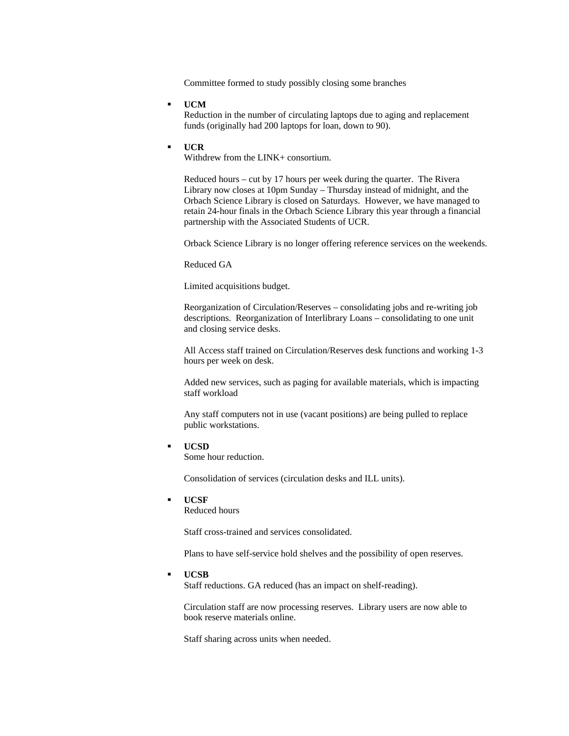Committee formed to study possibly closing some branches

**UCM** 

Reduction in the number of circulating laptops due to aging and replacement funds (originally had 200 laptops for loan, down to 90).

#### **UCR**

Withdrew from the LINK+ consortium.

Reduced hours – cut by 17 hours per week during the quarter. The Rivera Library now closes at 10pm Sunday – Thursday instead of midnight, and the Orbach Science Library is closed on Saturdays. However, we have managed to retain 24-hour finals in the Orbach Science Library this year through a financial partnership with the Associated Students of UCR.

Orback Science Library is no longer offering reference services on the weekends.

Reduced GA

Limited acquisitions budget.

Reorganization of Circulation/Reserves – consolidating jobs and re-writing job descriptions. Reorganization of Interlibrary Loans – consolidating to one unit and closing service desks.

All Access staff trained on Circulation/Reserves desk functions and working 1-3 hours per week on desk.

Added new services, such as paging for available materials, which is impacting staff workload

Any staff computers not in use (vacant positions) are being pulled to replace public workstations.

**UCSD** 

Some hour reduction.

Consolidation of services (circulation desks and ILL units).

**UCSF** 

Reduced hours

Staff cross-trained and services consolidated.

Plans to have self-service hold shelves and the possibility of open reserves.

**UCSB** 

Staff reductions. GA reduced (has an impact on shelf-reading).

Circulation staff are now processing reserves. Library users are now able to book reserve materials online.

Staff sharing across units when needed.